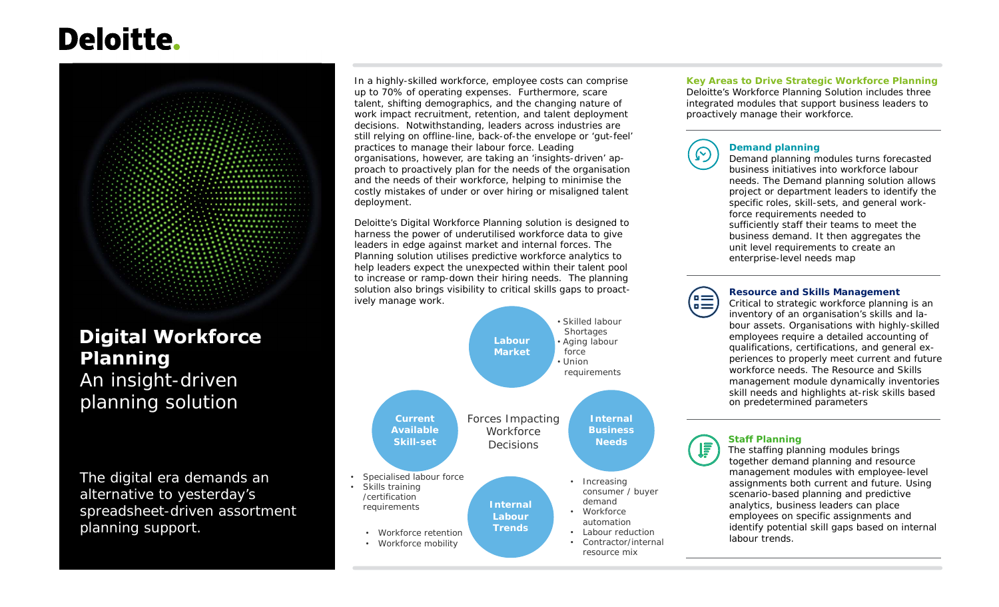# **Deloitte.**



# **Digital Workforce Planning**  An insight-driven planning solution

The digital era demands an alternative to yesterday's spreadsheet-driven assortment planning support.

•

•

In a highly-skilled workforce, employee costs can comprise up to 70% of operating expenses. Furthermore, scare talent, shifting demographics, and the changing nature of work impact recruitment, retention, and talent deployment decisions. Notwithstanding, leaders across industries are still relying on offline-line, back-of-the envelope or 'gut-feel' practices to manage their labour force. Leading organisations, however, are taking an 'insights-driven' approach to proactively plan for the needs of the organisation and the needs of their workforce, helping to minimise the costly mistakes of under or over hiring or misaligned talent deployment.

Deloitte's Digital Workforce Planning solution is designed to harness the power of underutilised workforce data to give leaders in edge against market and internal forces. The Planning solution utilises predictive workforce analytics to help leaders expect the unexpected within their talent pool to increase or ramp-down their hiring needs. The planning solution also brings visibility to critical skills gaps to proactively manage work.



**Key Areas to Drive Strategic Workforce Planning** Deloitte's Workforce Planning Solution includes three integrated modules that support business leaders to proactively manage their workforce.



### **Demand planning**

 Demand planning modules turns forecasted business initiatives into workforce labour needs. The Demand planning solution allows project or department leaders to identify the specific roles, skill-sets, and general workforce requirements needed to sufficiently staff their teams to meet the business demand. It then aggregates theunit level requirements to create an enterprise-level needs map



#### **Resource and Skills Management**

 Critical to strategic workforce planning is an inventory of an organisation's skills and labour assets. Organisations with highly-skilled employees require a detailed accounting of qualifications, certifications, and general experiences to properly meet current and future workforce needs. The Resource and Skills management module dynamically inventories skill needs and highlights at-risk skills based on predetermined parameters



#### **Staff Planning**

 The staffing planning modules brings together demand planning and resource management modules with employee-level assignments both current and future. Using scenario-based planning and predictive analytics, business leaders can place employees on specific assignments and identify potential skill gaps based on internal labour trends.